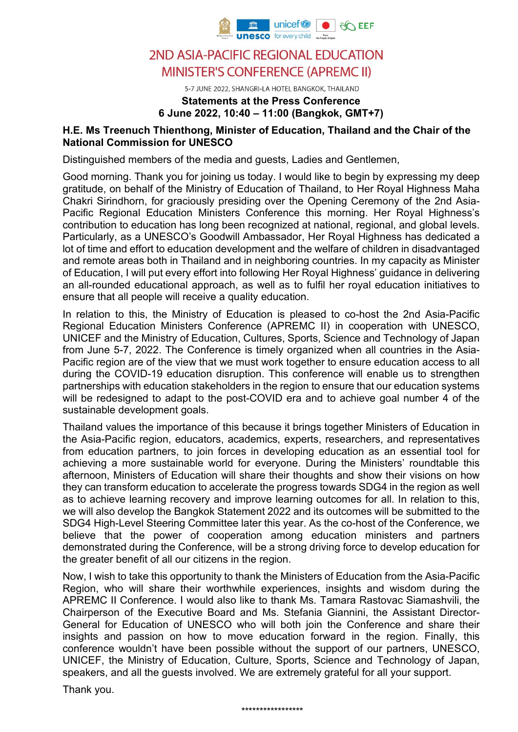

5-7 JUNE 2022, SHANGRI-LA HOTEL BANGKOK, THAILAND

### **Statements at the Press Conference 6 June 2022, 10:40 – 11:00 (Bangkok, GMT+7)**

#### **H.E. Ms Treenuch Thienthong, Minister of Education, Thailand and the Chair of the National Commission for UNESCO**

Distinguished members of the media and guests, Ladies and Gentlemen,

Good morning. Thank you for joining us today. I would like to begin by expressing my deep gratitude, on behalf of the Ministry of Education of Thailand, to Her Royal Highness Maha Chakri Sirindhorn, for graciously presiding over the Opening Ceremony of the 2nd Asia-Pacific Regional Education Ministers Conference this morning. Her Royal Highness's contribution to education has long been recognized at national, regional, and global levels. Particularly, as a UNESCO's Goodwill Ambassador, Her Royal Highness has dedicated a lot of time and effort to education development and the welfare of children in disadvantaged and remote areas both in Thailand and in neighboring countries. In my capacity as Minister of Education, I will put every effort into following Her Royal Highness' guidance in delivering an all-rounded educational approach, as well as to fulfil her royal education initiatives to ensure that all people will receive a quality education.

In relation to this, the Ministry of Education is pleased to co-host the 2nd Asia-Pacific Regional Education Ministers Conference (APREMC II) in cooperation with UNESCO, UNICEF and the Ministry of Education, Cultures, Sports, Science and Technology of Japan from June 5-7, 2022. The Conference is timely organized when all countries in the Asia-Pacific region are of the view that we must work together to ensure education access to all during the COVID-19 education disruption. This conference will enable us to strengthen partnerships with education stakeholders in the region to ensure that our education systems will be redesigned to adapt to the post-COVID era and to achieve goal number 4 of the sustainable development goals.

Thailand values the importance of this because it brings together Ministers of Education in the Asia-Pacific region, educators, academics, experts, researchers, and representatives from education partners, to join forces in developing education as an essential tool for achieving a more sustainable world for everyone. During the Ministers' roundtable this afternoon, Ministers of Education will share their thoughts and show their visions on how they can transform education to accelerate the progress towards SDG4 in the region as well as to achieve learning recovery and improve learning outcomes for all. In relation to this, we will also develop the Bangkok Statement 2022 and its outcomes will be submitted to the SDG4 High-Level Steering Committee later this year. As the co-host of the Conference, we believe that the power of cooperation among education ministers and partners demonstrated during the Conference, will be a strong driving force to develop education for the greater benefit of all our citizens in the region.

Now, I wish to take this opportunity to thank the Ministers of Education from the Asia-Pacific Region, who will share their worthwhile experiences, insights and wisdom during the APREMC II Conference. I would also like to thank Ms. Tamara Rastovac Siamashvili, the Chairperson of the Executive Board and Ms. Stefania Giannini, the Assistant Director-General for Education of UNESCO who will both join the Conference and share their insights and passion on how to move education forward in the region. Finally, this conference wouldn't have been possible without the support of our partners, UNESCO, UNICEF, the Ministry of Education, Culture, Sports, Science and Technology of Japan, speakers, and all the guests involved. We are extremely grateful for all your support.

Thank you.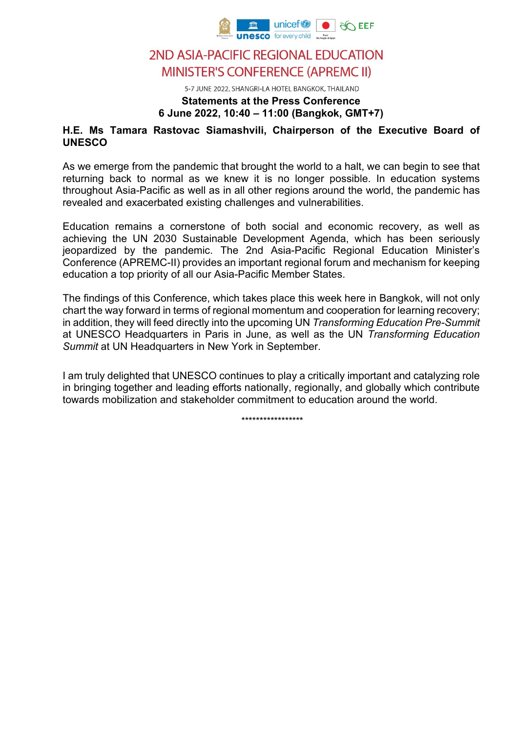

5-7 JUNE 2022, SHANGRI-LA HOTEL BANGKOK, THAILAND

### **Statements at the Press Conference 6 June 2022, 10:40 – 11:00 (Bangkok, GMT+7)**

#### **H.E. Ms Tamara Rastovac Siamashvili, Chairperson of the Executive Board of UNESCO**

As we emerge from the pandemic that brought the world to a halt, we can begin to see that returning back to normal as we knew it is no longer possible. In education systems throughout Asia-Pacific as well as in all other regions around the world, the pandemic has revealed and exacerbated existing challenges and vulnerabilities.

Education remains a cornerstone of both social and economic recovery, as well as achieving the UN 2030 Sustainable Development Agenda, which has been seriously jeopardized by the pandemic. The 2nd Asia-Pacific Regional Education Minister's Conference (APREMC-II) provides an important regional forum and mechanism for keeping education a top priority of all our Asia-Pacific Member States.

The findings of this Conference, which takes place this week here in Bangkok, will not only chart the way forward in terms of regional momentum and cooperation for learning recovery; in addition, they will feed directly into the upcoming UN *Transforming Education Pre-Summit* at UNESCO Headquarters in Paris in June, as well as the UN *Transforming Education Summit* at UN Headquarters in New York in September.

I am truly delighted that UNESCO continues to play a critically important and catalyzing role in bringing together and leading efforts nationally, regionally, and globally which contribute towards mobilization and stakeholder commitment to education around the world.

\*\*\*\*\*\*\*\*\*\*\*\*\*\*\*\*\*\*\*\*\*\*\*\*\*\*\*\*\*\*\*\*\*\*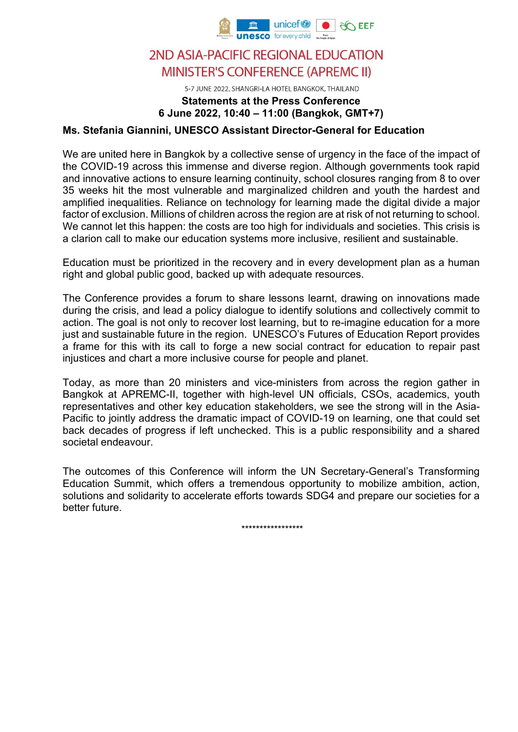

5-7 JUNE 2022, SHANGRI-LA HOTEL BANGKOK, THAILAND

### **Statements at the Press Conference 6 June 2022, 10:40 – 11:00 (Bangkok, GMT+7)**

#### **Ms. Stefania Giannini, UNESCO Assistant Director-General for Education**

We are united here in Bangkok by a collective sense of urgency in the face of the impact of the COVID-19 across this immense and diverse region. Although governments took rapid and innovative actions to ensure learning continuity, school closures ranging from 8 to over 35 weeks hit the most vulnerable and marginalized children and youth the hardest and amplified inequalities. Reliance on technology for learning made the digital divide a major factor of exclusion. Millions of children across the region are at risk of not returning to school. We cannot let this happen: the costs are too high for individuals and societies. This crisis is a clarion call to make our education systems more inclusive, resilient and sustainable.

Education must be prioritized in the recovery and in every development plan as a human right and global public good, backed up with adequate resources.

The Conference provides a forum to share lessons learnt, drawing on innovations made during the crisis, and lead a policy dialogue to identify solutions and collectively commit to action. The goal is not only to recover lost learning, but to re-imagine education for a more just and sustainable future in the region. UNESCO's Futures of Education Report provides a frame for this with its call to forge a new social contract for education to repair past injustices and chart a more inclusive course for people and planet.

Today, as more than 20 ministers and vice-ministers from across the region gather in Bangkok at APREMC-II, together with high-level UN officials, CSOs, academics, youth representatives and other key education stakeholders, we see the strong will in the Asia-Pacific to jointly address the dramatic impact of COVID-19 on learning, one that could set back decades of progress if left unchecked. This is a public responsibility and a shared societal endeavour.

The outcomes of this Conference will inform the UN Secretary-General's Transforming Education Summit, which offers a tremendous opportunity to mobilize ambition, action, solutions and solidarity to accelerate efforts towards SDG4 and prepare our societies for a better future.

\*\*\*\*\*\*\*\*\*\*\*\*\*\*\*\*\*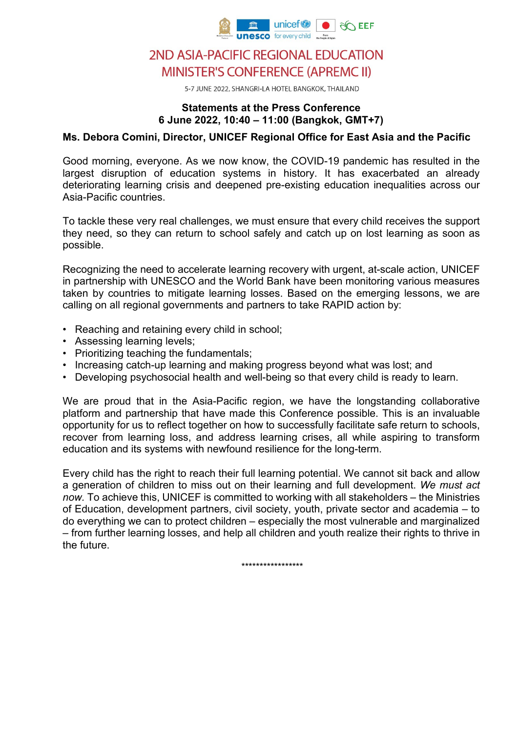

5-7 JUNE 2022, SHANGRI-LA HOTEL BANGKOK, THAILAND

#### **Statements at the Press Conference 6 June 2022, 10:40 – 11:00 (Bangkok, GMT+7)**

#### **Ms. Debora Comini, Director, UNICEF Regional Office for East Asia and the Pacific**

Good morning, everyone. As we now know, the COVID-19 pandemic has resulted in the largest disruption of education systems in history. It has exacerbated an already deteriorating learning crisis and deepened pre-existing education inequalities across our Asia-Pacific countries.

To tackle these very real challenges, we must ensure that every child receives the support they need, so they can return to school safely and catch up on lost learning as soon as possible.

Recognizing the need to accelerate learning recovery with urgent, at-scale action, UNICEF in partnership with UNESCO and the World Bank have been monitoring various measures taken by countries to mitigate learning losses. Based on the emerging lessons, we are calling on all regional governments and partners to take RAPID action by:

- Reaching and retaining every child in school;
- Assessing learning levels;
- Prioritizing teaching the fundamentals;
- Increasing catch-up learning and making progress beyond what was lost; and
- Developing psychosocial health and well-being so that every child is ready to learn.

We are proud that in the Asia-Pacific region, we have the longstanding collaborative platform and partnership that have made this Conference possible. This is an invaluable opportunity for us to reflect together on how to successfully facilitate safe return to schools, recover from learning loss, and address learning crises, all while aspiring to transform education and its systems with newfound resilience for the long-term.

Every child has the right to reach their full learning potential. We cannot sit back and allow a generation of children to miss out on their learning and full development. *We must act now.* To achieve this, UNICEF is committed to working with all stakeholders – the Ministries of Education, development partners, civil society, youth, private sector and academia – to do everything we can to protect children – especially the most vulnerable and marginalized – from further learning losses, and help all children and youth realize their rights to thrive in the future.

\*\*\*\*\*\*\*\*\*\*\*\*\*\*\*\*\*